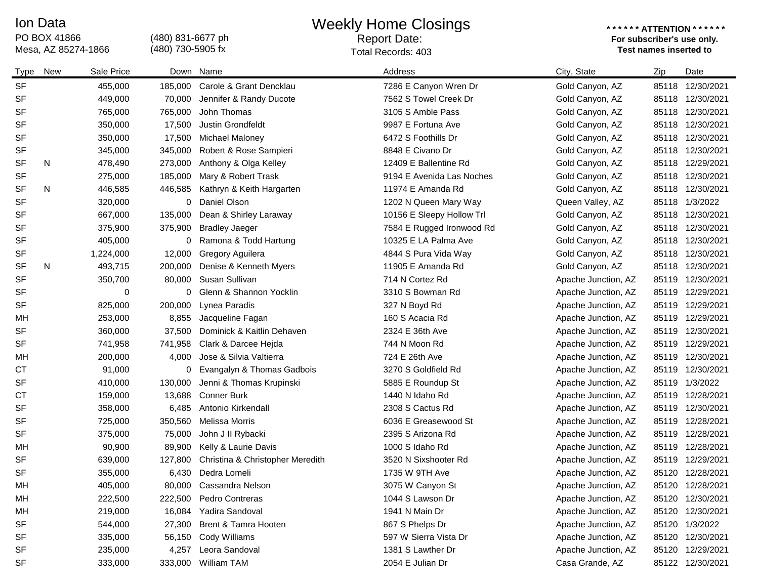## Ion Data

PO BOX 41866<br>Mesa, AZ 85274-1866

(480) 831-6677 ph (480) 730-5905 fx

## Weekly Home Closings

## Report Date:

## **\* \* \* \* \* \* ATTENTION \* \* \* \* \* \* For subscriber's use only.**  Mesa, AZ 85274-1866 **Test names inserted to**  Total Records: 403

| Type      | New | Sale Price |         | Down Name                        | Address                   | City, State         | Zip   | Date             |
|-----------|-----|------------|---------|----------------------------------|---------------------------|---------------------|-------|------------------|
| <b>SF</b> |     | 455,000    | 185,000 | Carole & Grant Dencklau          | 7286 E Canyon Wren Dr     | Gold Canyon, AZ     |       | 85118 12/30/2021 |
| SF        |     | 449,000    | 70,000  | Jennifer & Randy Ducote          | 7562 S Towel Creek Dr     | Gold Canyon, AZ     |       | 85118 12/30/2021 |
| SF        |     | 765,000    | 765,000 | John Thomas                      | 3105 S Amble Pass         | Gold Canyon, AZ     |       | 85118 12/30/2021 |
| SF        |     | 350,000    | 17,500  | Justin Grondfeldt                | 9987 E Fortuna Ave        | Gold Canyon, AZ     | 85118 | 12/30/2021       |
| <b>SF</b> |     | 350,000    | 17,500  | <b>Michael Maloney</b>           | 6472 S Foothills Dr       | Gold Canyon, AZ     |       | 85118 12/30/2021 |
| SF        |     | 345,000    | 345,000 | Robert & Rose Sampieri           | 8848 E Civano Dr          | Gold Canyon, AZ     |       | 85118 12/30/2021 |
| <b>SF</b> | N   | 478,490    | 273,000 | Anthony & Olga Kelley            | 12409 E Ballentine Rd     | Gold Canyon, AZ     |       | 85118 12/29/2021 |
| <b>SF</b> |     | 275,000    | 185,000 | Mary & Robert Trask              | 9194 E Avenida Las Noches | Gold Canyon, AZ     |       | 85118 12/30/2021 |
| SF        | N   | 446,585    | 446,585 | Kathryn & Keith Hargarten        | 11974 E Amanda Rd         | Gold Canyon, AZ     |       | 85118 12/30/2021 |
| <b>SF</b> |     | 320,000    | 0       | Daniel Olson                     | 1202 N Queen Mary Way     | Queen Valley, AZ    |       | 85118 1/3/2022   |
| SF        |     | 667,000    | 135,000 | Dean & Shirley Laraway           | 10156 E Sleepy Hollow Trl | Gold Canyon, AZ     |       | 85118 12/30/2021 |
| <b>SF</b> |     | 375,900    | 375,900 | <b>Bradley Jaeger</b>            | 7584 E Rugged Ironwood Rd | Gold Canyon, AZ     | 85118 | 12/30/2021       |
| <b>SF</b> |     | 405,000    | 0       | Ramona & Todd Hartung            | 10325 E LA Palma Ave      | Gold Canyon, AZ     |       | 85118 12/30/2021 |
| SF        |     | 1,224,000  | 12,000  | Gregory Aguilera                 | 4844 S Pura Vida Way      | Gold Canyon, AZ     |       | 85118 12/30/2021 |
| <b>SF</b> | N   | 493,715    | 200,000 | Denise & Kenneth Myers           | 11905 E Amanda Rd         | Gold Canyon, AZ     |       | 85118 12/30/2021 |
| <b>SF</b> |     | 350,700    | 80,000  | Susan Sullivan                   | 714 N Cortez Rd           | Apache Junction, AZ |       | 85119 12/30/2021 |
| <b>SF</b> |     | 0          | 0       | Glenn & Shannon Yocklin          | 3310 S Bowman Rd          | Apache Junction, AZ |       | 85119 12/29/2021 |
| SF        |     | 825,000    | 200,000 | Lynea Paradis                    | 327 N Boyd Rd             | Apache Junction, AZ |       | 85119 12/29/2021 |
| МH        |     | 253,000    | 8,855   | Jacqueline Fagan                 | 160 S Acacia Rd           | Apache Junction, AZ |       | 85119 12/29/2021 |
| <b>SF</b> |     | 360,000    | 37,500  | Dominick & Kaitlin Dehaven       | 2324 E 36th Ave           | Apache Junction, AZ | 85119 | 12/30/2021       |
| <b>SF</b> |     | 741,958    | 741,958 | Clark & Darcee Hejda             | 744 N Moon Rd             | Apache Junction, AZ |       | 85119 12/29/2021 |
| MH        |     | 200,000    | 4,000   | Jose & Silvia Valtierra          | 724 E 26th Ave            | Apache Junction, AZ |       | 85119 12/30/2021 |
| <b>CT</b> |     | 91,000     | 0       | Evangalyn & Thomas Gadbois       | 3270 S Goldfield Rd       | Apache Junction, AZ |       | 85119 12/30/2021 |
| <b>SF</b> |     | 410,000    | 130,000 | Jenni & Thomas Krupinski         | 5885 E Roundup St         | Apache Junction, AZ |       | 85119 1/3/2022   |
| <b>CT</b> |     | 159,000    | 13,688  | <b>Conner Burk</b>               | 1440 N Idaho Rd           | Apache Junction, AZ |       | 85119 12/28/2021 |
| <b>SF</b> |     | 358,000    | 6,485   | Antonio Kirkendall               | 2308 S Cactus Rd          | Apache Junction, AZ |       | 85119 12/30/2021 |
| <b>SF</b> |     | 725,000    | 350,560 | <b>Melissa Morris</b>            | 6036 E Greasewood St      | Apache Junction, AZ |       | 85119 12/28/2021 |
| SF        |     | 375,000    | 75,000  | John J II Rybacki                | 2395 S Arizona Rd         | Apache Junction, AZ |       | 85119 12/28/2021 |
| MH        |     | 90,900     | 89,900  | Kelly & Laurie Davis             | 1000 S Idaho Rd           | Apache Junction, AZ |       | 85119 12/28/2021 |
| <b>SF</b> |     | 639,000    | 127,800 | Christina & Christopher Meredith | 3520 N Sixshooter Rd      | Apache Junction, AZ |       | 85119 12/29/2021 |
| <b>SF</b> |     | 355,000    | 6,430   | Dedra Lomeli                     | 1735 W 9TH Ave            | Apache Junction, AZ |       | 85120 12/28/2021 |
| МH        |     | 405,000    | 80,000  | Cassandra Nelson                 | 3075 W Canyon St          | Apache Junction, AZ |       | 85120 12/28/2021 |
| MH        |     | 222,500    |         | 222,500 Pedro Contreras          | 1044 S Lawson Dr          | Apache Junction, AZ |       | 85120 12/30/2021 |
| MH        |     | 219,000    | 16,084  | Yadira Sandoval                  | 1941 N Main Dr            | Apache Junction, AZ |       | 85120 12/30/2021 |
| SF        |     | 544,000    | 27,300  | Brent & Tamra Hooten             | 867 S Phelps Dr           | Apache Junction, AZ |       | 85120 1/3/2022   |
| SF        |     | 335,000    |         | 56,150 Cody Williams             | 597 W Sierra Vista Dr     | Apache Junction, AZ |       | 85120 12/30/2021 |
| SF        |     | 235,000    | 4,257   | Leora Sandoval                   | 1381 S Lawther Dr         | Apache Junction, AZ |       | 85120 12/29/2021 |
| SF        |     | 333,000    |         | 333,000 William TAM              | 2054 E Julian Dr          | Casa Grande, AZ     |       | 85122 12/30/2021 |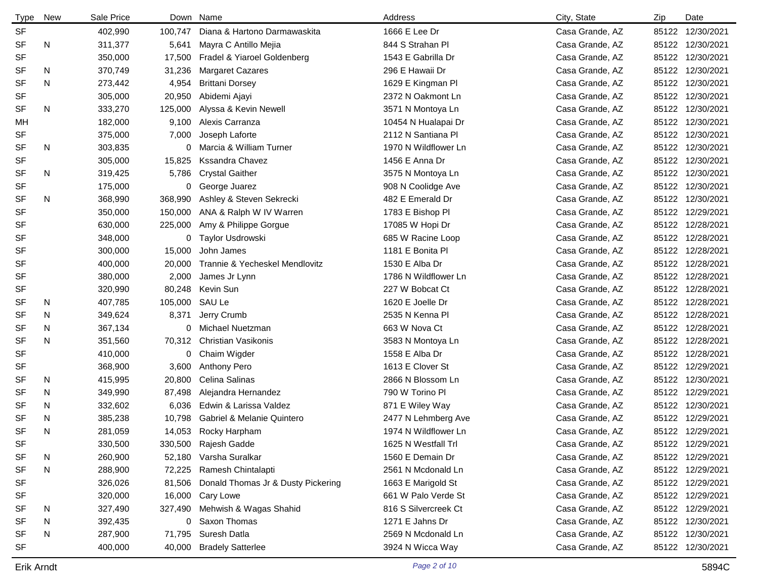| <b>Type</b> | New | Sale Price |         | Down Name                          | Address              | City, State     | Zip | Date             |
|-------------|-----|------------|---------|------------------------------------|----------------------|-----------------|-----|------------------|
| <b>SF</b>   |     | 402,990    | 100,747 | Diana & Hartono Darmawaskita       | 1666 E Lee Dr        | Casa Grande, AZ |     | 85122 12/30/2021 |
| <b>SF</b>   | N   | 311,377    | 5,641   | Mayra C Antillo Mejia              | 844 S Strahan Pl     | Casa Grande, AZ |     | 85122 12/30/2021 |
| SF          |     | 350,000    | 17,500  | Fradel & Yiaroel Goldenberg        | 1543 E Gabrilla Dr   | Casa Grande, AZ |     | 85122 12/30/2021 |
| <b>SF</b>   | N   | 370,749    | 31,236  | <b>Margaret Cazares</b>            | 296 E Hawaii Dr      | Casa Grande, AZ |     | 85122 12/30/2021 |
| <b>SF</b>   | N   | 273,442    | 4,954   | <b>Brittani Dorsey</b>             | 1629 E Kingman Pl    | Casa Grande, AZ |     | 85122 12/30/2021 |
| <b>SF</b>   |     | 305,000    | 20,950  | Abidemi Ajayi                      | 2372 N Oakmont Ln    | Casa Grande, AZ |     | 85122 12/30/2021 |
| <b>SF</b>   | N   | 333,270    | 125,000 | Alyssa & Kevin Newell              | 3571 N Montoya Ln    | Casa Grande, AZ |     | 85122 12/30/2021 |
| MH          |     | 182,000    | 9,100   | Alexis Carranza                    | 10454 N Hualapai Dr  | Casa Grande, AZ |     | 85122 12/30/2021 |
| SF          |     | 375,000    | 7,000   | Joseph Laforte                     | 2112 N Santiana Pl   | Casa Grande, AZ |     | 85122 12/30/2021 |
| <b>SF</b>   | N   | 303,835    | 0       | Marcia & William Turner            | 1970 N Wildflower Ln | Casa Grande, AZ |     | 85122 12/30/2021 |
| <b>SF</b>   |     | 305,000    | 15,825  | <b>Kssandra Chavez</b>             | 1456 E Anna Dr       | Casa Grande, AZ |     | 85122 12/30/2021 |
| <b>SF</b>   | N   | 319,425    | 5,786   | <b>Crystal Gaither</b>             | 3575 N Montoya Ln    | Casa Grande, AZ |     | 85122 12/30/2021 |
| <b>SF</b>   |     | 175,000    |         | 0 George Juarez                    | 908 N Coolidge Ave   | Casa Grande, AZ |     | 85122 12/30/2021 |
| <b>SF</b>   | N   | 368,990    | 368,990 | Ashley & Steven Sekrecki           | 482 E Emerald Dr     | Casa Grande, AZ |     | 85122 12/30/2021 |
| SF          |     | 350,000    | 150,000 | ANA & Ralph W IV Warren            | 1783 E Bishop PI     | Casa Grande, AZ |     | 85122 12/29/2021 |
| <b>SF</b>   |     | 630,000    | 225,000 | Amy & Philippe Gorgue              | 17085 W Hopi Dr      | Casa Grande, AZ |     | 85122 12/28/2021 |
| SF          |     | 348,000    |         | 0 Taylor Usdrowski                 | 685 W Racine Loop    | Casa Grande, AZ |     | 85122 12/28/2021 |
| <b>SF</b>   |     | 300,000    | 15,000  | John James                         | 1181 E Bonita Pl     | Casa Grande, AZ |     | 85122 12/28/2021 |
| SF          |     | 400,000    | 20,000  | Trannie & Yecheskel Mendlovitz     | 1530 E Alba Dr       | Casa Grande, AZ |     | 85122 12/28/2021 |
| SF          |     | 380,000    | 2,000   | James Jr Lynn                      | 1786 N Wildflower Ln | Casa Grande, AZ |     | 85122 12/28/2021 |
| SF          |     | 320,990    | 80,248  | Kevin Sun                          | 227 W Bobcat Ct      | Casa Grande, AZ |     | 85122 12/28/2021 |
| <b>SF</b>   | N   | 407,785    | 105,000 | SAU Le                             | 1620 E Joelle Dr     | Casa Grande, AZ |     | 85122 12/28/2021 |
| <b>SF</b>   | N   | 349,624    | 8,371   | Jerry Crumb                        | 2535 N Kenna Pl      | Casa Grande, AZ |     | 85122 12/28/2021 |
| SF          | N   | 367,134    | 0       | Michael Nuetzman                   | 663 W Nova Ct        | Casa Grande, AZ |     | 85122 12/28/2021 |
| <b>SF</b>   | N   | 351,560    | 70,312  | Christian Vasikonis                | 3583 N Montoya Ln    | Casa Grande, AZ |     | 85122 12/28/2021 |
| <b>SF</b>   |     | 410,000    |         | 0 Chaim Wigder                     | 1558 E Alba Dr       | Casa Grande, AZ |     | 85122 12/28/2021 |
| SF          |     | 368,900    | 3,600   | <b>Anthony Pero</b>                | 1613 E Clover St     | Casa Grande, AZ |     | 85122 12/29/2021 |
| <b>SF</b>   | N   | 415,995    | 20,800  | Celina Salinas                     | 2866 N Blossom Ln    | Casa Grande, AZ |     | 85122 12/30/2021 |
| <b>SF</b>   | N   | 349,990    | 87,498  | Alejandra Hernandez                | 790 W Torino PI      | Casa Grande, AZ |     | 85122 12/29/2021 |
| <b>SF</b>   | N   | 332,602    | 6,036   | Edwin & Larissa Valdez             | 871 E Wiley Way      | Casa Grande, AZ |     | 85122 12/30/2021 |
| <b>SF</b>   | N   | 385,238    | 10,798  | Gabriel & Melanie Quintero         | 2477 N Lehmberg Ave  | Casa Grande, AZ |     | 85122 12/29/2021 |
| <b>SF</b>   | N   | 281,059    |         | 14,053 Rocky Harpham               | 1974 N Wildflower Ln | Casa Grande, AZ |     | 85122 12/29/2021 |
| SF          |     | 330,500    |         | 330,500 Rajesh Gadde               | 1625 N Westfall Trl  | Casa Grande, AZ |     | 85122 12/29/2021 |
| <b>SF</b>   | N   | 260,900    |         | 52,180 Varsha Suralkar             | 1560 E Demain Dr     | Casa Grande, AZ |     | 85122 12/29/2021 |
| <b>SF</b>   | N   | 288,900    | 72,225  | Ramesh Chintalapti                 | 2561 N Mcdonald Ln   | Casa Grande, AZ |     | 85122 12/29/2021 |
| SF          |     | 326,026    | 81,506  | Donald Thomas Jr & Dusty Pickering | 1663 E Marigold St   | Casa Grande, AZ |     | 85122 12/29/2021 |
| <b>SF</b>   |     | 320,000    |         | 16,000 Cary Lowe                   | 661 W Palo Verde St  | Casa Grande, AZ |     | 85122 12/29/2021 |
| <b>SF</b>   | N   | 327,490    |         | 327,490 Mehwish & Wagas Shahid     | 816 S Silvercreek Ct | Casa Grande, AZ |     | 85122 12/29/2021 |
| SF          | N   | 392,435    | 0       | Saxon Thomas                       | 1271 E Jahns Dr      | Casa Grande, AZ |     | 85122 12/30/2021 |
| <b>SF</b>   | N   | 287,900    | 71,795  | Suresh Datla                       | 2569 N Mcdonald Ln   | Casa Grande, AZ |     | 85122 12/30/2021 |
| SF          |     | 400,000    |         | 40,000 Bradely Satterlee           | 3924 N Wicca Way     | Casa Grande, AZ |     | 85122 12/30/2021 |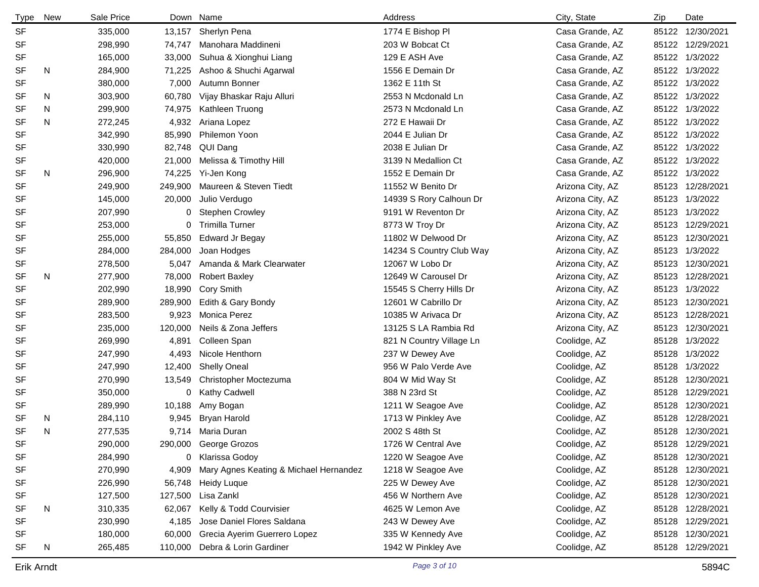| <b>Type</b>                       | New | Sale Price |         | Down Name                              | Address                  | City, State      | Zip | Date             |
|-----------------------------------|-----|------------|---------|----------------------------------------|--------------------------|------------------|-----|------------------|
| <b>SF</b>                         |     | 335,000    |         | 13,157 Sherlyn Pena                    | 1774 E Bishop Pl         | Casa Grande, AZ  |     | 85122 12/30/2021 |
| SF                                |     | 298,990    | 74,747  | Manohara Maddineni                     | 203 W Bobcat Ct          | Casa Grande, AZ  |     | 85122 12/29/2021 |
| SF                                |     | 165,000    | 33,000  | Suhua & Xionghui Liang                 | 129 E ASH Ave            | Casa Grande, AZ  |     | 85122 1/3/2022   |
| SF                                | N   | 284,900    | 71,225  | Ashoo & Shuchi Agarwal                 | 1556 E Demain Dr         | Casa Grande, AZ  |     | 85122 1/3/2022   |
| SF                                |     | 380,000    | 7,000   | Autumn Bonner                          | 1362 E 11th St           | Casa Grande, AZ  |     | 85122 1/3/2022   |
| SF                                | N   | 303,900    | 60,780  | Vijay Bhaskar Raju Alluri              | 2553 N Mcdonald Ln       | Casa Grande, AZ  |     | 85122 1/3/2022   |
| <b>SF</b>                         | N   | 299,900    | 74,975  | Kathleen Truong                        | 2573 N Mcdonald Ln       | Casa Grande, AZ  |     | 85122 1/3/2022   |
| SF                                | N   | 272,245    | 4,932   | Ariana Lopez                           | 272 E Hawaii Dr          | Casa Grande, AZ  |     | 85122 1/3/2022   |
| SF                                |     | 342,990    | 85,990  | Philemon Yoon                          | 2044 E Julian Dr         | Casa Grande, AZ  |     | 85122 1/3/2022   |
| SF                                |     | 330,990    | 82,748  | QUI Dang                               | 2038 E Julian Dr         | Casa Grande, AZ  |     | 85122 1/3/2022   |
| SF                                |     | 420,000    | 21,000  | Melissa & Timothy Hill                 | 3139 N Medallion Ct      | Casa Grande, AZ  |     | 85122 1/3/2022   |
| SF                                | N   | 296,900    | 74,225  | Yi-Jen Kong                            | 1552 E Demain Dr         | Casa Grande, AZ  |     | 85122 1/3/2022   |
| SF                                |     | 249,900    | 249,900 | Maureen & Steven Tiedt                 | 11552 W Benito Dr        | Arizona City, AZ |     | 85123 12/28/2021 |
| SF                                |     | 145,000    | 20,000  | Julio Verdugo                          | 14939 S Rory Calhoun Dr  | Arizona City, AZ |     | 85123 1/3/2022   |
| SF                                |     | 207,990    | 0       | <b>Stephen Crowley</b>                 | 9191 W Reventon Dr       | Arizona City, AZ |     | 85123 1/3/2022   |
| SF                                |     | 253,000    | 0       | <b>Trimilla Turner</b>                 | 8773 W Troy Dr           | Arizona City, AZ |     | 85123 12/29/2021 |
| SF                                |     | 255,000    | 55,850  | <b>Edward Jr Begay</b>                 | 11802 W Delwood Dr       | Arizona City, AZ |     | 85123 12/30/2021 |
| SF                                |     | 284,000    | 284,000 | Joan Hodges                            | 14234 S Country Club Way | Arizona City, AZ |     | 85123 1/3/2022   |
| SF                                |     | 278,500    | 5,047   | Amanda & Mark Clearwater               | 12067 W Lobo Dr          | Arizona City, AZ |     | 85123 12/30/2021 |
| SF                                | N   | 277,900    | 78,000  | <b>Robert Baxley</b>                   | 12649 W Carousel Dr      | Arizona City, AZ |     | 85123 12/28/2021 |
| SF                                |     | 202,990    | 18,990  | Cory Smith                             | 15545 S Cherry Hills Dr  | Arizona City, AZ |     | 85123 1/3/2022   |
| SF                                |     | 289,900    | 289,900 | Edith & Gary Bondy                     | 12601 W Cabrillo Dr      | Arizona City, AZ |     | 85123 12/30/2021 |
| SF                                |     | 283,500    | 9,923   | Monica Perez                           | 10385 W Arivaca Dr       | Arizona City, AZ |     | 85123 12/28/2021 |
| SF                                |     | 235,000    | 120,000 | Neils & Zona Jeffers                   | 13125 S LA Rambia Rd     | Arizona City, AZ |     | 85123 12/30/2021 |
| SF                                |     | 269,990    | 4,891   | Colleen Span                           | 821 N Country Village Ln | Coolidge, AZ     |     | 85128 1/3/2022   |
| SF                                |     | 247,990    | 4,493   | Nicole Henthorn                        | 237 W Dewey Ave          | Coolidge, AZ     |     | 85128 1/3/2022   |
| SF                                |     | 247,990    | 12,400  | <b>Shelly Oneal</b>                    | 956 W Palo Verde Ave     | Coolidge, AZ     |     | 85128 1/3/2022   |
| SF                                |     | 270,990    | 13,549  | Christopher Moctezuma                  | 804 W Mid Way St         | Coolidge, AZ     |     | 85128 12/30/2021 |
| SF                                |     | 350,000    | 0       | Kathy Cadwell                          | 388 N 23rd St            | Coolidge, AZ     |     | 85128 12/29/2021 |
| SF                                |     | 289,990    | 10,188  | Amy Bogan                              | 1211 W Seagoe Ave        | Coolidge, AZ     |     | 85128 12/30/2021 |
| SF                                | N   | 284,110    | 9,945   | <b>Bryan Harold</b>                    | 1713 W Pinkley Ave       | Coolidge, AZ     |     | 85128 12/28/2021 |
| SF                                | N   | 277,535    |         | 9,714 Maria Duran                      | 2002 S 48th St           | Coolidge, AZ     |     | 85128 12/30/2021 |
| $\ensuremath{\mathsf{SF}}\xspace$ |     | 290,000    | 290,000 | George Grozos                          | 1726 W Central Ave       | Coolidge, AZ     |     | 85128 12/29/2021 |
| SF                                |     | 284,990    | 0       | Klarissa Godoy                         | 1220 W Seagoe Ave        | Coolidge, AZ     |     | 85128 12/30/2021 |
| SF                                |     | 270,990    | 4,909   | Mary Agnes Keating & Michael Hernandez | 1218 W Seagoe Ave        | Coolidge, AZ     |     | 85128 12/30/2021 |
| SF                                |     | 226,990    | 56,748  | Heidy Luque                            | 225 W Dewey Ave          | Coolidge, AZ     |     | 85128 12/30/2021 |
| SF                                |     | 127,500    | 127,500 | Lisa Zankl                             | 456 W Northern Ave       | Coolidge, AZ     |     | 85128 12/30/2021 |
| SF                                | N   | 310,335    | 62,067  | Kelly & Todd Courvisier                | 4625 W Lemon Ave         | Coolidge, AZ     |     | 85128 12/28/2021 |
| SF                                |     | 230,990    | 4,185   | Jose Daniel Flores Saldana             | 243 W Dewey Ave          | Coolidge, AZ     |     | 85128 12/29/2021 |
| SF                                |     | 180,000    | 60,000  | Grecia Ayerim Guerrero Lopez           | 335 W Kennedy Ave        | Coolidge, AZ     |     | 85128 12/30/2021 |
| SF                                | N   | 265,485    | 110,000 | Debra & Lorin Gardiner                 | 1942 W Pinkley Ave       | Coolidge, AZ     |     | 85128 12/29/2021 |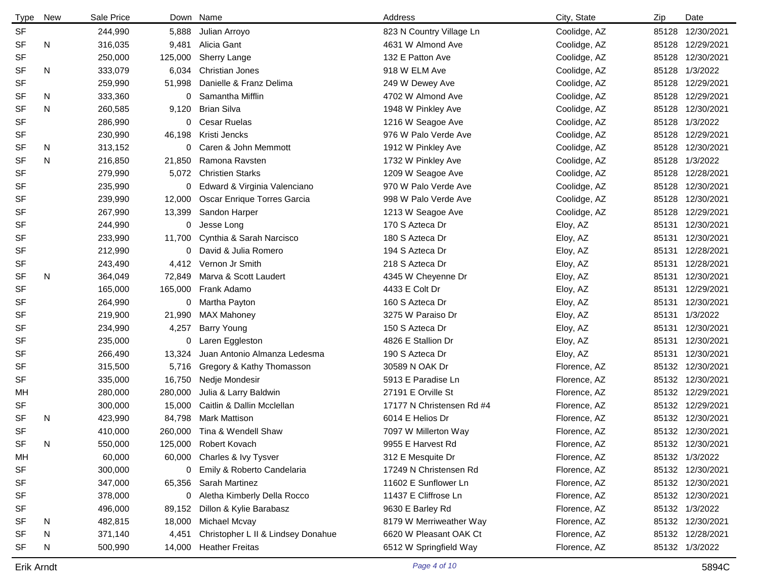| <b>Type</b> | New | Sale Price |         | Down Name                          | Address                   | City, State  | Zip   | Date             |
|-------------|-----|------------|---------|------------------------------------|---------------------------|--------------|-------|------------------|
| <b>SF</b>   |     | 244,990    | 5,888   | Julian Arroyo                      | 823 N Country Village Ln  | Coolidge, AZ |       | 85128 12/30/2021 |
| <b>SF</b>   | N   | 316,035    | 9,481   | Alicia Gant                        | 4631 W Almond Ave         | Coolidge, AZ | 85128 | 12/29/2021       |
| <b>SF</b>   |     | 250,000    | 125,000 | Sherry Lange                       | 132 E Patton Ave          | Coolidge, AZ |       | 85128 12/30/2021 |
| SF          | N   | 333,079    | 6,034   | <b>Christian Jones</b>             | 918 W ELM Ave             | Coolidge, AZ |       | 85128 1/3/2022   |
| <b>SF</b>   |     | 259,990    | 51,998  | Danielle & Franz Delima            | 249 W Dewey Ave           | Coolidge, AZ |       | 85128 12/29/2021 |
| SF          | N   | 333,360    | 0       | Samantha Mifflin                   | 4702 W Almond Ave         | Coolidge, AZ |       | 85128 12/29/2021 |
| <b>SF</b>   | N   | 260,585    | 9,120   | <b>Brian Silva</b>                 | 1948 W Pinkley Ave        | Coolidge, AZ |       | 85128 12/30/2021 |
| <b>SF</b>   |     | 286,990    | 0       | Cesar Ruelas                       | 1216 W Seagoe Ave         | Coolidge, AZ |       | 85128 1/3/2022   |
| SF          |     | 230,990    | 46,198  | Kristi Jencks                      | 976 W Palo Verde Ave      | Coolidge, AZ |       | 85128 12/29/2021 |
| SF          | N   | 313,152    | 0       | Caren & John Memmott               | 1912 W Pinkley Ave        | Coolidge, AZ |       | 85128 12/30/2021 |
| <b>SF</b>   | N   | 216,850    | 21,850  | Ramona Ravsten                     | 1732 W Pinkley Ave        | Coolidge, AZ |       | 85128 1/3/2022   |
| <b>SF</b>   |     | 279,990    | 5,072   | <b>Christien Starks</b>            | 1209 W Seagoe Ave         | Coolidge, AZ |       | 85128 12/28/2021 |
| <b>SF</b>   |     | 235,990    | 0       | Edward & Virginia Valenciano       | 970 W Palo Verde Ave      | Coolidge, AZ |       | 85128 12/30/2021 |
| SF          |     | 239,990    | 12,000  | Oscar Enrique Torres Garcia        | 998 W Palo Verde Ave      | Coolidge, AZ |       | 85128 12/30/2021 |
| <b>SF</b>   |     | 267,990    | 13,399  | Sandon Harper                      | 1213 W Seagoe Ave         | Coolidge, AZ |       | 85128 12/29/2021 |
| <b>SF</b>   |     | 244,990    | 0       | Jesse Long                         | 170 S Azteca Dr           | Eloy, AZ     |       | 85131 12/30/2021 |
| <b>SF</b>   |     | 233,990    | 11,700  | Cynthia & Sarah Narcisco           | 180 S Azteca Dr           | Eloy, AZ     |       | 85131 12/30/2021 |
| <b>SF</b>   |     | 212,990    |         | 0 David & Julia Romero             | 194 S Azteca Dr           | Eloy, AZ     | 85131 | 12/28/2021       |
| <b>SF</b>   |     | 243,490    | 4,412   | Vernon Jr Smith                    | 218 S Azteca Dr           | Eloy, AZ     |       | 85131 12/28/2021 |
| <b>SF</b>   | N   | 364,049    | 72,849  | Marva & Scott Laudert              | 4345 W Cheyenne Dr        | Eloy, AZ     |       | 85131 12/30/2021 |
| <b>SF</b>   |     | 165,000    |         | 165,000 Frank Adamo                | 4433 E Colt Dr            | Eloy, AZ     |       | 85131 12/29/2021 |
| <b>SF</b>   |     | 264,990    |         | 0 Martha Payton                    | 160 S Azteca Dr           | Eloy, AZ     | 85131 | 12/30/2021       |
| <b>SF</b>   |     | 219,900    | 21,990  | <b>MAX Mahoney</b>                 | 3275 W Paraiso Dr         | Eloy, AZ     |       | 85131 1/3/2022   |
| <b>SF</b>   |     | 234,990    | 4,257   | <b>Barry Young</b>                 | 150 S Azteca Dr           | Eloy, AZ     |       | 85131 12/30/2021 |
| <b>SF</b>   |     | 235,000    | 0       | Laren Eggleston                    | 4826 E Stallion Dr        | Eloy, AZ     | 85131 | 12/30/2021       |
| <b>SF</b>   |     | 266,490    | 13,324  | Juan Antonio Almanza Ledesma       | 190 S Azteca Dr           | Eloy, AZ     | 85131 | 12/30/2021       |
| <b>SF</b>   |     | 315,500    | 5,716   | Gregory & Kathy Thomasson          | 30589 N OAK Dr            | Florence, AZ |       | 85132 12/30/2021 |
| <b>SF</b>   |     | 335,000    | 16,750  | Nedje Mondesir                     | 5913 E Paradise Ln        | Florence, AZ |       | 85132 12/30/2021 |
| MH          |     | 280,000    | 280,000 | Julia & Larry Baldwin              | 27191 E Orville St        | Florence, AZ |       | 85132 12/29/2021 |
| <b>SF</b>   |     | 300,000    | 15,000  | Caitlin & Dallin Mcclellan         | 17177 N Christensen Rd #4 | Florence, AZ |       | 85132 12/29/2021 |
| <b>SF</b>   | N   | 423,990    | 84,798  | Mark Mattison                      | 6014 E Helios Dr          | Florence, AZ |       | 85132 12/30/2021 |
| <b>SF</b>   |     | 410,000    |         | 260,000 Tina & Wendell Shaw        | 7097 W Millerton Way      | Florence, AZ |       | 85132 12/30/2021 |
| SF          | N   | 550,000    |         | 125,000 Robert Kovach              | 9955 E Harvest Rd         | Florence, AZ |       | 85132 12/30/2021 |
| MН          |     | 60,000     |         | 60,000 Charles & Ivy Tysver        | 312 E Mesquite Dr         | Florence, AZ |       | 85132 1/3/2022   |
| SF          |     | 300,000    | 0       | Emily & Roberto Candelaria         | 17249 N Christensen Rd    | Florence, AZ |       | 85132 12/30/2021 |
| SF          |     | 347,000    |         | 65,356 Sarah Martinez              | 11602 E Sunflower Ln      | Florence, AZ |       | 85132 12/30/2021 |
| SF          |     | 378,000    | 0       | Aletha Kimberly Della Rocco        | 11437 E Cliffrose Ln      | Florence, AZ |       | 85132 12/30/2021 |
| <b>SF</b>   |     | 496,000    | 89,152  | Dillon & Kylie Barabasz            | 9630 E Barley Rd          | Florence, AZ |       | 85132 1/3/2022   |
| SF          | N   | 482,815    | 18,000  | Michael Mcvay                      | 8179 W Merriweather Way   | Florence, AZ |       | 85132 12/30/2021 |
| SF          | N   | 371,140    | 4,451   | Christopher L II & Lindsey Donahue | 6620 W Pleasant OAK Ct    | Florence, AZ |       | 85132 12/28/2021 |
| SF          | N   | 500,990    |         | 14,000 Heather Freitas             | 6512 W Springfield Way    | Florence, AZ |       | 85132 1/3/2022   |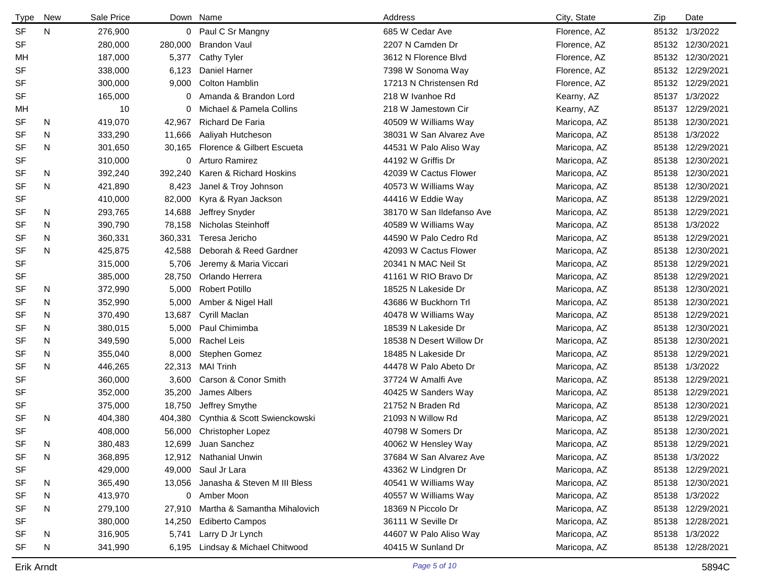| Type      | New | Sale Price |         | Down Name                    | Address                   | City, State  | Zip   | Date             |
|-----------|-----|------------|---------|------------------------------|---------------------------|--------------|-------|------------------|
| <b>SF</b> | N   | 276,900    |         | 0 Paul C Sr Mangny           | 685 W Cedar Ave           | Florence, AZ |       | 85132 1/3/2022   |
| SF        |     | 280,000    | 280,000 | <b>Brandon Vaul</b>          | 2207 N Camden Dr          | Florence, AZ |       | 85132 12/30/2021 |
| МH        |     | 187,000    | 5,377   | <b>Cathy Tyler</b>           | 3612 N Florence Blvd      | Florence, AZ |       | 85132 12/30/2021 |
| SF        |     | 338,000    | 6,123   | Daniel Harner                | 7398 W Sonoma Way         | Florence, AZ |       | 85132 12/29/2021 |
| SF        |     | 300,000    | 9,000   | <b>Colton Hamblin</b>        | 17213 N Christensen Rd    | Florence, AZ |       | 85132 12/29/2021 |
| SF        |     | 165,000    | 0       | Amanda & Brandon Lord        | 218 W Ivanhoe Rd          | Kearny, AZ   |       | 85137 1/3/2022   |
| МH        |     | 10         | 0       | Michael & Pamela Collins     | 218 W Jamestown Cir       | Kearny, AZ   |       | 85137 12/29/2021 |
| SF        | N   | 419,070    | 42,967  | Richard De Faria             | 40509 W Williams Way      | Maricopa, AZ | 85138 | 12/30/2021       |
| SF        | N   | 333,290    | 11.666  | Aaliyah Hutcheson            | 38031 W San Alvarez Ave   | Maricopa, AZ |       | 85138 1/3/2022   |
| <b>SF</b> | N   | 301,650    | 30,165  | Florence & Gilbert Escueta   | 44531 W Palo Aliso Way    | Maricopa, AZ |       | 85138 12/29/2021 |
| SF        |     | 310,000    | 0       | Arturo Ramirez               | 44192 W Griffis Dr        | Maricopa, AZ |       | 85138 12/30/2021 |
| <b>SF</b> | N   | 392,240    | 392,240 | Karen & Richard Hoskins      | 42039 W Cactus Flower     | Maricopa, AZ |       | 85138 12/30/2021 |
| SF        | N   | 421,890    | 8,423   | Janel & Troy Johnson         | 40573 W Williams Way      | Maricopa, AZ |       | 85138 12/30/2021 |
| SF        |     | 410,000    | 82,000  | Kyra & Ryan Jackson          | 44416 W Eddie Way         | Maricopa, AZ |       | 85138 12/29/2021 |
| SF        | N   | 293,765    | 14,688  | Jeffrey Snyder               | 38170 W San Ildefanso Ave | Maricopa, AZ |       | 85138 12/29/2021 |
| SF        | N   | 390,790    | 78,158  | Nicholas Steinhoff           | 40589 W Williams Way      | Maricopa, AZ | 85138 | 1/3/2022         |
| SF        | N   | 360,331    | 360,331 | Teresa Jericho               | 44590 W Palo Cedro Rd     | Maricopa, AZ |       | 85138 12/29/2021 |
| SF        | N   | 425,875    | 42,588  | Deborah & Reed Gardner       | 42093 W Cactus Flower     | Maricopa, AZ | 85138 | 12/30/2021       |
| SF        |     | 315,000    | 5,706   | Jeremy & Maria Viccari       | 20341 N MAC Neil St       | Maricopa, AZ |       | 85138 12/29/2021 |
| SF        |     | 385,000    | 28,750  | Orlando Herrera              | 41161 W RIO Bravo Dr      | Maricopa, AZ |       | 85138 12/29/2021 |
| SF        | N   | 372,990    | 5,000   | <b>Robert Potillo</b>        | 18525 N Lakeside Dr       | Maricopa, AZ |       | 85138 12/30/2021 |
| <b>SF</b> | N   | 352,990    | 5,000   | Amber & Nigel Hall           | 43686 W Buckhorn Trl      | Maricopa, AZ | 85138 | 12/30/2021       |
| <b>SF</b> | N   | 370,490    | 13,687  | Cyrill Maclan                | 40478 W Williams Way      | Maricopa, AZ | 85138 | 12/29/2021       |
| SF        | N   | 380,015    | 5,000   | Paul Chimimba                | 18539 N Lakeside Dr       | Maricopa, AZ | 85138 | 12/30/2021       |
| <b>SF</b> | N   | 349,590    | 5,000   | Rachel Leis                  | 18538 N Desert Willow Dr  | Maricopa, AZ | 85138 | 12/30/2021       |
| <b>SF</b> | N   | 355,040    | 8,000   | Stephen Gomez                | 18485 N Lakeside Dr       | Maricopa, AZ | 85138 | 12/29/2021       |
| <b>SF</b> | N   | 446,265    | 22,313  | <b>MAI Trinh</b>             | 44478 W Palo Abeto Dr     | Maricopa, AZ |       | 85138 1/3/2022   |
| SF        |     | 360,000    | 3,600   | Carson & Conor Smith         | 37724 W Amalfi Ave        | Maricopa, AZ |       | 85138 12/29/2021 |
| SF        |     | 352,000    | 35,200  | James Albers                 | 40425 W Sanders Way       | Maricopa, AZ |       | 85138 12/29/2021 |
| SF        |     | 375,000    | 18,750  | Jeffrey Smythe               | 21752 N Braden Rd         | Maricopa, AZ |       | 85138 12/30/2021 |
| <b>SF</b> | N   | 404,380    | 404,380 | Cynthia & Scott Swienckowski | 21093 N Willow Rd         | Maricopa, AZ |       | 85138 12/29/2021 |
| SF        |     | 408,000    |         | 56,000 Christopher Lopez     | 40798 W Somers Dr         | Maricopa, AZ |       | 85138 12/30/2021 |
| <b>SF</b> | Ν   | 380,483    | 12,699  | Juan Sanchez                 | 40062 W Hensley Way       | Maricopa, AZ |       | 85138 12/29/2021 |
| SF        | N   | 368,895    |         | 12,912 Nathanial Unwin       | 37684 W San Alvarez Ave   | Maricopa, AZ |       | 85138 1/3/2022   |
| SF        |     | 429,000    | 49,000  | Saul Jr Lara                 | 43362 W Lindgren Dr       | Maricopa, AZ |       | 85138 12/29/2021 |
| SF        | N.  | 365,490    | 13,056  | Janasha & Steven M III Bless | 40541 W Williams Way      | Maricopa, AZ |       | 85138 12/30/2021 |
| SF        | N   | 413,970    | 0       | Amber Moon                   | 40557 W Williams Way      | Maricopa, AZ |       | 85138 1/3/2022   |
| SF        | N   | 279,100    | 27,910  | Martha & Samantha Mihalovich | 18369 N Piccolo Dr        | Maricopa, AZ |       | 85138 12/29/2021 |
| SF        |     | 380,000    | 14,250  | <b>Ediberto Campos</b>       | 36111 W Seville Dr        | Maricopa, AZ |       | 85138 12/28/2021 |
| SF        | N.  | 316,905    | 5,741   | Larry D Jr Lynch             | 44607 W Palo Aliso Way    | Maricopa, AZ |       | 85138 1/3/2022   |
| SF        | N   | 341,990    | 6,195   | Lindsay & Michael Chitwood   | 40415 W Sunland Dr        | Maricopa, AZ |       | 85138 12/28/2021 |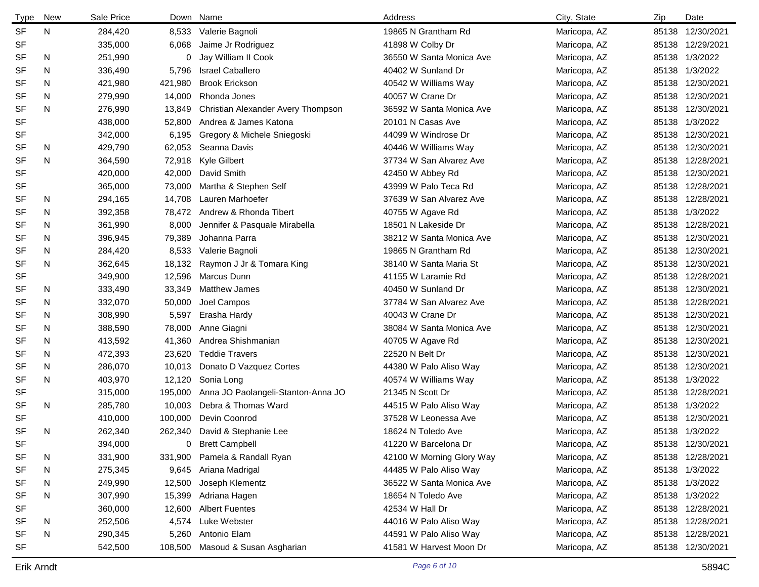| <b>Type</b> | <b>New</b> | Sale Price |         | Down Name                          | Address                   | City, State  | Zip   | Date             |
|-------------|------------|------------|---------|------------------------------------|---------------------------|--------------|-------|------------------|
| <b>SF</b>   | N          | 284,420    | 8,533   | Valerie Bagnoli                    | 19865 N Grantham Rd       | Maricopa, AZ | 85138 | 12/30/2021       |
| <b>SF</b>   |            | 335,000    | 6,068   | Jaime Jr Rodriguez                 | 41898 W Colby Dr          | Maricopa, AZ | 85138 | 12/29/2021       |
| SF          | N          | 251,990    | 0       | Jay William II Cook                | 36550 W Santa Monica Ave  | Maricopa, AZ |       | 85138 1/3/2022   |
| SF          | N          | 336,490    | 5,796   | <b>Israel Caballero</b>            | 40402 W Sunland Dr        | Maricopa, AZ |       | 85138 1/3/2022   |
| <b>SF</b>   | N          | 421,980    | 421,980 | <b>Brook Erickson</b>              | 40542 W Williams Way      | Maricopa, AZ |       | 85138 12/30/2021 |
| <b>SF</b>   | N          | 279,990    | 14,000  | Rhonda Jones                       | 40057 W Crane Dr          | Maricopa, AZ |       | 85138 12/30/2021 |
| <b>SF</b>   | N          | 276,990    | 13,849  | Christian Alexander Avery Thompson | 36592 W Santa Monica Ave  | Maricopa, AZ |       | 85138 12/30/2021 |
| <b>SF</b>   |            | 438,000    | 52,800  | Andrea & James Katona              | 20101 N Casas Ave         | Maricopa, AZ |       | 85138 1/3/2022   |
| SF          |            | 342,000    | 6,195   | Gregory & Michele Sniegoski        | 44099 W Windrose Dr       | Maricopa, AZ |       | 85138 12/30/2021 |
| SF          | N          | 429,790    | 62,053  | Seanna Davis                       | 40446 W Williams Way      | Maricopa, AZ | 85138 | 12/30/2021       |
| <b>SF</b>   | N          | 364,590    | 72,918  | Kyle Gilbert                       | 37734 W San Alvarez Ave   | Maricopa, AZ |       | 85138 12/28/2021 |
| <b>SF</b>   |            | 420,000    | 42,000  | David Smith                        | 42450 W Abbey Rd          | Maricopa, AZ |       | 85138 12/30/2021 |
| SF          |            | 365,000    | 73,000  | Martha & Stephen Self              | 43999 W Palo Teca Rd      | Maricopa, AZ |       | 85138 12/28/2021 |
| SF          | N          | 294,165    | 14,708  | Lauren Marhoefer                   | 37639 W San Alvarez Ave   | Maricopa, AZ | 85138 | 12/28/2021       |
| SF          | N          | 392,358    | 78,472  | Andrew & Rhonda Tibert             | 40755 W Agave Rd          | Maricopa, AZ | 85138 | 1/3/2022         |
| SF          | N          | 361,990    | 8,000   | Jennifer & Pasquale Mirabella      | 18501 N Lakeside Dr       | Maricopa, AZ |       | 85138 12/28/2021 |
| SF          | N          | 396,945    | 79,389  | Johanna Parra                      | 38212 W Santa Monica Ave  | Maricopa, AZ | 85138 | 12/30/2021       |
| SF          | N          | 284,420    | 8,533   | Valerie Bagnoli                    | 19865 N Grantham Rd       | Maricopa, AZ | 85138 | 12/30/2021       |
| <b>SF</b>   | N          | 362,645    | 18,132  | Raymon J Jr & Tomara King          | 38140 W Santa Maria St    | Maricopa, AZ |       | 85138 12/30/2021 |
| SF          |            | 349,900    | 12,596  | Marcus Dunn                        | 41155 W Laramie Rd        | Maricopa, AZ | 85138 | 12/28/2021       |
| <b>SF</b>   | N          | 333,490    | 33,349  | <b>Matthew James</b>               | 40450 W Sunland Dr        | Maricopa, AZ |       | 85138 12/30/2021 |
| SF          | N          | 332,070    | 50,000  | Joel Campos                        | 37784 W San Alvarez Ave   | Maricopa, AZ | 85138 | 12/28/2021       |
| <b>SF</b>   | N          | 308,990    | 5,597   | Erasha Hardy                       | 40043 W Crane Dr          | Maricopa, AZ | 85138 | 12/30/2021       |
| SF          | N          | 388,590    | 78,000  | Anne Giagni                        | 38084 W Santa Monica Ave  | Maricopa, AZ | 85138 | 12/30/2021       |
| SF          | N          | 413,592    | 41,360  | Andrea Shishmanian                 | 40705 W Agave Rd          | Maricopa, AZ | 85138 | 12/30/2021       |
| SF          | N          | 472,393    | 23,620  | <b>Teddie Travers</b>              | 22520 N Belt Dr           | Maricopa, AZ | 85138 | 12/30/2021       |
| <b>SF</b>   | N          | 286,070    | 10,013  | Donato D Vazquez Cortes            | 44380 W Palo Aliso Way    | Maricopa, AZ | 85138 | 12/30/2021       |
| <b>SF</b>   | N          | 403,970    | 12,120  | Sonia Long                         | 40574 W Williams Way      | Maricopa, AZ |       | 85138 1/3/2022   |
| <b>SF</b>   |            | 315,000    | 195,000 | Anna JO Paolangeli-Stanton-Anna JO | 21345 N Scott Dr          | Maricopa, AZ | 85138 | 12/28/2021       |
| <b>SF</b>   | N          | 285,780    | 10,003  | Debra & Thomas Ward                | 44515 W Palo Aliso Way    | Maricopa, AZ |       | 85138 1/3/2022   |
| <b>SF</b>   |            | 410,000    | 100,000 | Devin Coonrod                      | 37528 W Leonessa Ave      | Maricopa, AZ | 85138 | 12/30/2021       |
| <b>SF</b>   | N          | 262,340    |         | 262,340 David & Stephanie Lee      | 18624 N Toledo Ave        | Maricopa, AZ |       | 85138 1/3/2022   |
| <b>SF</b>   |            | 394,000    | 0       | <b>Brett Campbell</b>              | 41220 W Barcelona Dr      | Maricopa, AZ |       | 85138 12/30/2021 |
| <b>SF</b>   | N          | 331,900    | 331,900 | Pamela & Randall Ryan              | 42100 W Morning Glory Way | Maricopa, AZ |       | 85138 12/28/2021 |
| <b>SF</b>   | N          | 275,345    | 9,645   | Ariana Madrigal                    | 44485 W Palo Aliso Way    | Maricopa, AZ |       | 85138 1/3/2022   |
| SF          | N          | 249,990    | 12,500  | Joseph Klementz                    | 36522 W Santa Monica Ave  | Maricopa, AZ |       | 85138 1/3/2022   |
| SF          | N          | 307,990    | 15,399  | Adriana Hagen                      | 18654 N Toledo Ave        | Maricopa, AZ |       | 85138 1/3/2022   |
| SF          |            | 360,000    | 12,600  | <b>Albert Fuentes</b>              | 42534 W Hall Dr           | Maricopa, AZ |       | 85138 12/28/2021 |
| SF          | N          | 252,506    | 4,574   | Luke Webster                       | 44016 W Palo Aliso Way    | Maricopa, AZ |       | 85138 12/28/2021 |
| SF          | N          | 290,345    | 5,260   | Antonio Elam                       | 44591 W Palo Aliso Way    | Maricopa, AZ |       | 85138 12/28/2021 |
| <b>SF</b>   |            | 542,500    | 108,500 | Masoud & Susan Asgharian           | 41581 W Harvest Moon Dr   | Maricopa, AZ |       | 85138 12/30/2021 |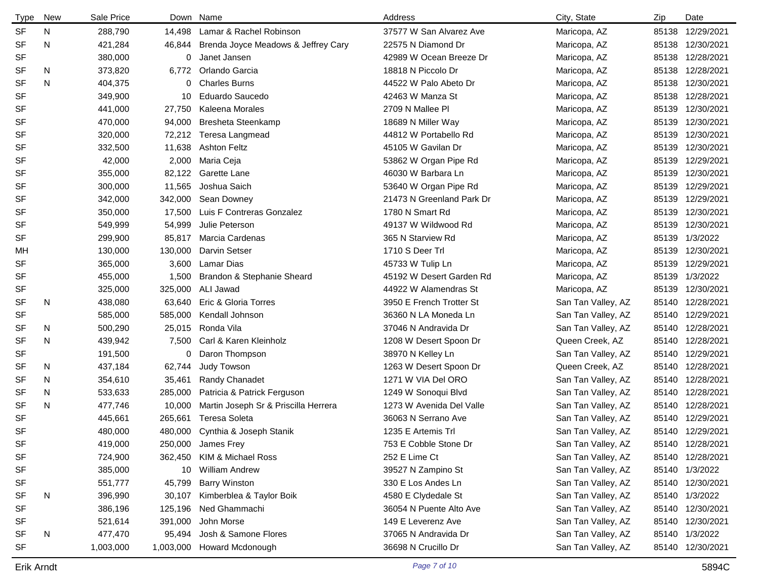| <b>Type</b> | New | Sale Price |           | Down Name                            | Address                   | City, State        | Zip   | Date             |
|-------------|-----|------------|-----------|--------------------------------------|---------------------------|--------------------|-------|------------------|
| <b>SF</b>   | N   | 288,790    | 14,498    | Lamar & Rachel Robinson              | 37577 W San Alvarez Ave   | Maricopa, AZ       |       | 85138 12/29/2021 |
| <b>SF</b>   | N   | 421,284    | 46,844    | Brenda Joyce Meadows & Jeffrey Cary  | 22575 N Diamond Dr        | Maricopa, AZ       |       | 85138 12/30/2021 |
| SF          |     | 380,000    | 0         | Janet Jansen                         | 42989 W Ocean Breeze Dr   | Maricopa, AZ       |       | 85138 12/28/2021 |
| <b>SF</b>   | N   | 373,820    | 6,772     | Orlando Garcia                       | 18818 N Piccolo Dr        | Maricopa, AZ       |       | 85138 12/28/2021 |
| <b>SF</b>   | N   | 404,375    | 0         | <b>Charles Burns</b>                 | 44522 W Palo Abeto Dr     | Maricopa, AZ       | 85138 | 12/30/2021       |
| SF          |     | 349,900    | 10        | Eduardo Saucedo                      | 42463 W Manza St          | Maricopa, AZ       | 85138 | 12/28/2021       |
| SF          |     | 441,000    | 27,750    | Kaleena Morales                      | 2709 N Mallee Pl          | Maricopa, AZ       |       | 85139 12/30/2021 |
| SF          |     | 470,000    | 94,000    | Bresheta Steenkamp                   | 18689 N Miller Way        | Maricopa, AZ       | 85139 | 12/30/2021       |
| SF          |     | 320,000    | 72,212    | Teresa Langmead                      | 44812 W Portabello Rd     | Maricopa, AZ       |       | 85139 12/30/2021 |
| SF          |     | 332,500    | 11,638    | <b>Ashton Feltz</b>                  | 45105 W Gavilan Dr        | Maricopa, AZ       | 85139 | 12/30/2021       |
| SF          |     | 42,000     | 2,000     | Maria Ceja                           | 53862 W Organ Pipe Rd     | Maricopa, AZ       |       | 85139 12/29/2021 |
| SF          |     | 355,000    | 82,122    | Garette Lane                         | 46030 W Barbara Ln        | Maricopa, AZ       |       | 85139 12/30/2021 |
| SF          |     | 300,000    | 11,565    | Joshua Saich                         | 53640 W Organ Pipe Rd     | Maricopa, AZ       | 85139 | 12/29/2021       |
| SF          |     | 342,000    | 342,000   | Sean Downey                          | 21473 N Greenland Park Dr | Maricopa, AZ       | 85139 | 12/29/2021       |
| SF          |     | 350,000    | 17,500    | Luis F Contreras Gonzalez            | 1780 N Smart Rd           | Maricopa, AZ       | 85139 | 12/30/2021       |
| SF          |     | 549,999    | 54,999    | Julie Peterson                       | 49137 W Wildwood Rd       | Maricopa, AZ       | 85139 | 12/30/2021       |
| SF          |     | 299,900    | 85,817    | Marcia Cardenas                      | 365 N Starview Rd         | Maricopa, AZ       |       | 85139 1/3/2022   |
| МH          |     | 130,000    | 130,000   | Darvin Setser                        | 1710 S Deer Trl           | Maricopa, AZ       | 85139 | 12/30/2021       |
| SF          |     | 365,000    | 3,600     | Lamar Dias                           | 45733 W Tulip Ln          | Maricopa, AZ       | 85139 | 12/29/2021       |
| SF          |     | 455,000    | 1,500     | Brandon & Stephanie Sheard           | 45192 W Desert Garden Rd  | Maricopa, AZ       |       | 85139 1/3/2022   |
| SF          |     | 325,000    | 325,000   | ALI Jawad                            | 44922 W Alamendras St     | Maricopa, AZ       | 85139 | 12/30/2021       |
| <b>SF</b>   | N   | 438,080    | 63,640    | Eric & Gloria Torres                 | 3950 E French Trotter St  | San Tan Valley, AZ | 85140 | 12/28/2021       |
| SF          |     | 585,000    | 585,000   | Kendall Johnson                      | 36360 N LA Moneda Ln      | San Tan Valley, AZ |       | 85140 12/29/2021 |
| SF          | N   | 500,290    | 25,015    | Ronda Vila                           | 37046 N Andravida Dr      | San Tan Valley, AZ |       | 85140 12/28/2021 |
| SF          | N   | 439,942    | 7,500     | Carl & Karen Kleinholz               | 1208 W Desert Spoon Dr    | Queen Creek, AZ    |       | 85140 12/28/2021 |
| SF          |     | 191,500    | 0         | Daron Thompson                       | 38970 N Kelley Ln         | San Tan Valley, AZ |       | 85140 12/29/2021 |
| <b>SF</b>   | N   | 437,184    | 62,744    | Judy Towson                          | 1263 W Desert Spoon Dr    | Queen Creek, AZ    |       | 85140 12/28/2021 |
| SF          | N   | 354,610    | 35,461    | Randy Chanadet                       | 1271 W VIA Del ORO        | San Tan Valley, AZ |       | 85140 12/28/2021 |
| <b>SF</b>   | N   | 533,633    | 285,000   | Patricia & Patrick Ferguson          | 1249 W Sonoqui Blvd       | San Tan Valley, AZ |       | 85140 12/28/2021 |
| <b>SF</b>   | N   | 477,746    | 10,000    | Martin Joseph Sr & Priscilla Herrera | 1273 W Avenida Del Valle  | San Tan Valley, AZ |       | 85140 12/28/2021 |
| <b>SF</b>   |     | 445,661    | 265,661   | <b>Teresa Soleta</b>                 | 36063 N Serrano Ave       | San Tan Valley, AZ |       | 85140 12/29/2021 |
| SF          |     | 480,000    |           | 480,000 Cynthia & Joseph Stanik      | 1235 E Artemis Trl        | San Tan Valley, AZ |       | 85140 12/29/2021 |
| SF          |     | 419,000    | 250,000   | James Frey                           | 753 E Cobble Stone Dr     | San Tan Valley, AZ |       | 85140 12/28/2021 |
| SF          |     | 724,900    | 362,450   | KIM & Michael Ross                   | 252 E Lime Ct             | San Tan Valley, AZ |       | 85140 12/28/2021 |
| SF          |     | 385,000    | 10        | <b>William Andrew</b>                | 39527 N Zampino St        | San Tan Valley, AZ |       | 85140 1/3/2022   |
| SF          |     | 551,777    | 45,799    | <b>Barry Winston</b>                 | 330 E Los Andes Ln        | San Tan Valley, AZ |       | 85140 12/30/2021 |
| SF          | N   | 396,990    | 30,107    | Kimberblea & Taylor Boik             | 4580 E Clydedale St       | San Tan Valley, AZ |       | 85140 1/3/2022   |
| SF          |     | 386,196    | 125,196   | Ned Ghammachi                        | 36054 N Puente Alto Ave   | San Tan Valley, AZ |       | 85140 12/30/2021 |
| SF          |     | 521,614    | 391,000   | John Morse                           | 149 E Leverenz Ave        | San Tan Valley, AZ |       | 85140 12/30/2021 |
| SF          | N   | 477,470    | 95,494    | Josh & Samone Flores                 | 37065 N Andravida Dr      | San Tan Valley, AZ |       | 85140 1/3/2022   |
| <b>SF</b>   |     | 1,003,000  | 1,003,000 | Howard Mcdonough                     | 36698 N Crucillo Dr       | San Tan Valley, AZ |       | 85140 12/30/2021 |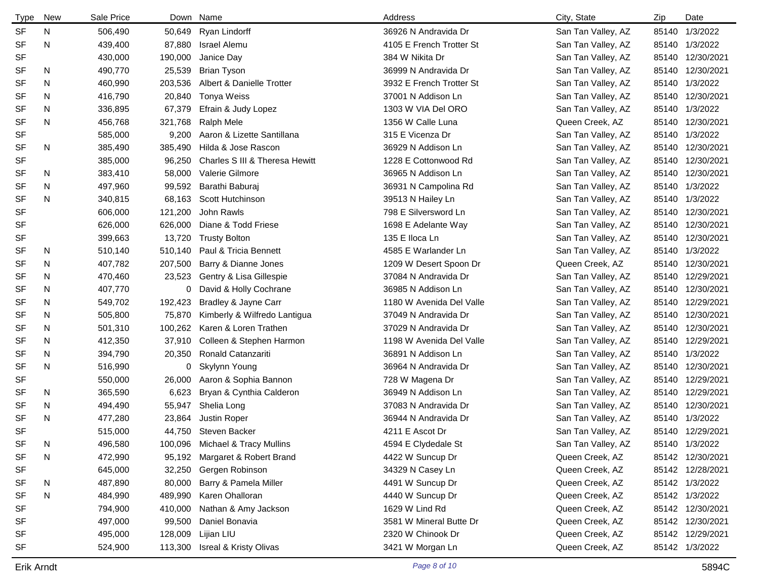| Type      | <b>New</b> | Sale Price |         | Down Name                       | Address                  | City, State        | Zip   | Date             |
|-----------|------------|------------|---------|---------------------------------|--------------------------|--------------------|-------|------------------|
| SF        | N.         | 506,490    | 50,649  | Ryan Lindorff                   | 36926 N Andravida Dr     | San Tan Valley, AZ |       | 85140 1/3/2022   |
| <b>SF</b> | N          | 439,400    | 87,880  | <b>Israel Alemu</b>             | 4105 E French Trotter St | San Tan Valley, AZ |       | 85140 1/3/2022   |
| <b>SF</b> |            | 430,000    | 190,000 | Janice Day                      | 384 W Nikita Dr          | San Tan Valley, AZ |       | 85140 12/30/2021 |
| <b>SF</b> | N          | 490,770    | 25,539  | <b>Brian Tyson</b>              | 36999 N Andravida Dr     | San Tan Valley, AZ |       | 85140 12/30/2021 |
| <b>SF</b> | N          | 460,990    | 203,536 | Albert & Danielle Trotter       | 3932 E French Trotter St | San Tan Valley, AZ |       | 85140 1/3/2022   |
| <b>SF</b> | N          | 416,790    | 20,840  | Tonya Weiss                     | 37001 N Addison Ln       | San Tan Valley, AZ |       | 85140 12/30/2021 |
| <b>SF</b> | N          | 336,895    | 67,379  | Efrain & Judy Lopez             | 1303 W VIA Del ORO       | San Tan Valley, AZ |       | 85140 1/3/2022   |
| <b>SF</b> | N          | 456,768    | 321,768 | Ralph Mele                      | 1356 W Calle Luna        | Queen Creek, AZ    |       | 85140 12/30/2021 |
| <b>SF</b> |            | 585,000    | 9,200   | Aaron & Lizette Santillana      | 315 E Vicenza Dr         | San Tan Valley, AZ |       | 85140 1/3/2022   |
| <b>SF</b> | N          | 385,490    | 385,490 | Hilda & Jose Rascon             | 36929 N Addison Ln       | San Tan Valley, AZ |       | 85140 12/30/2021 |
| <b>SF</b> |            | 385,000    | 96,250  | Charles S III & Theresa Hewitt  | 1228 E Cottonwood Rd     | San Tan Valley, AZ |       | 85140 12/30/2021 |
| SF        | N          | 383,410    | 58,000  | Valerie Gilmore                 | 36965 N Addison Ln       | San Tan Valley, AZ |       | 85140 12/30/2021 |
| SF        | N          | 497,960    | 99,592  | Barathi Baburaj                 | 36931 N Campolina Rd     | San Tan Valley, AZ |       | 85140 1/3/2022   |
| <b>SF</b> | N.         | 340,815    | 68,163  | Scott Hutchinson                | 39513 N Hailey Ln        | San Tan Valley, AZ |       | 85140 1/3/2022   |
| <b>SF</b> |            | 606,000    | 121,200 | John Rawls                      | 798 E Silversword Ln     | San Tan Valley, AZ |       | 85140 12/30/2021 |
| <b>SF</b> |            | 626,000    | 626,000 | Diane & Todd Friese             | 1698 E Adelante Way      | San Tan Valley, AZ |       | 85140 12/30/2021 |
| <b>SF</b> |            | 399,663    | 13,720  | <b>Trusty Bolton</b>            | 135 E Iloca Ln           | San Tan Valley, AZ |       | 85140 12/30/2021 |
| <b>SF</b> | N          | 510,140    | 510,140 | Paul & Tricia Bennett           | 4585 E Warlander Ln      | San Tan Valley, AZ |       | 85140 1/3/2022   |
| SF        | N          | 407,782    | 207,500 | Barry & Dianne Jones            | 1209 W Desert Spoon Dr   | Queen Creek, AZ    | 85140 | 12/30/2021       |
| <b>SF</b> | N          | 470,460    | 23,523  | Gentry & Lisa Gillespie         | 37084 N Andravida Dr     | San Tan Valley, AZ |       | 85140 12/29/2021 |
| SF        | N          | 407,770    | 0       | David & Holly Cochrane          | 36985 N Addison Ln       | San Tan Valley, AZ |       | 85140 12/30/2021 |
| SF        | N.         | 549,702    | 192,423 | Bradley & Jayne Carr            | 1180 W Avenida Del Valle | San Tan Valley, AZ | 85140 | 12/29/2021       |
| <b>SF</b> | N          | 505,800    | 75,870  | Kimberly & Wilfredo Lantigua    | 37049 N Andravida Dr     | San Tan Valley, AZ | 85140 | 12/30/2021       |
| SF        | N          | 501,310    | 100,262 | Karen & Loren Trathen           | 37029 N Andravida Dr     | San Tan Valley, AZ | 85140 | 12/30/2021       |
| SF        | N          | 412,350    | 37,910  | Colleen & Stephen Harmon        | 1198 W Avenida Del Valle | San Tan Valley, AZ | 85140 | 12/29/2021       |
| SF        | N.         | 394,790    | 20,350  | Ronald Catanzariti              | 36891 N Addison Ln       | San Tan Valley, AZ |       | 85140 1/3/2022   |
| SF        | N          | 516,990    | 0       | Skylynn Young                   | 36964 N Andravida Dr     | San Tan Valley, AZ | 85140 | 12/30/2021       |
| <b>SF</b> |            | 550,000    | 26,000  | Aaron & Sophia Bannon           | 728 W Magena Dr          | San Tan Valley, AZ |       | 85140 12/29/2021 |
| SF        | N          | 365,590    | 6,623   | Bryan & Cynthia Calderon        | 36949 N Addison Ln       | San Tan Valley, AZ |       | 85140 12/29/2021 |
| SF        | N.         | 494,490    | 55,947  | Shelia Long                     | 37083 N Andravida Dr     | San Tan Valley, AZ |       | 85140 12/30/2021 |
| <b>SF</b> | N          | 477,280    | 23,864  | Justin Roper                    | 36944 N Andravida Dr     | San Tan Valley, AZ |       | 85140 1/3/2022   |
| <b>SF</b> |            | 515,000    |         | 44,750 Steven Backer            | 4211 E Ascot Dr          | San Tan Valley, AZ |       | 85140 12/29/2021 |
| SF        | N          | 496,580    |         | 100,096 Michael & Tracy Mullins | 4594 E Clydedale St      | San Tan Valley, AZ |       | 85140 1/3/2022   |
| <b>SF</b> | N          | 472,990    | 95,192  | Margaret & Robert Brand         | 4422 W Suncup Dr         | Queen Creek, AZ    |       | 85142 12/30/2021 |
| <b>SF</b> |            | 645,000    |         | 32,250 Gergen Robinson          | 34329 N Casey Ln         | Queen Creek, AZ    |       | 85142 12/28/2021 |
| <b>SF</b> | N          | 487,890    | 80,000  | Barry & Pamela Miller           | 4491 W Suncup Dr         | Queen Creek, AZ    |       | 85142 1/3/2022   |
| <b>SF</b> | N          | 484,990    | 489,990 | Karen Ohalloran                 | 4440 W Suncup Dr         | Queen Creek, AZ    |       | 85142 1/3/2022   |
| <b>SF</b> |            | 794,900    | 410,000 | Nathan & Amy Jackson            | 1629 W Lind Rd           | Queen Creek, AZ    |       | 85142 12/30/2021 |
| <b>SF</b> |            | 497,000    | 99,500  | Daniel Bonavia                  | 3581 W Mineral Butte Dr  | Queen Creek, AZ    |       | 85142 12/30/2021 |
| <b>SF</b> |            | 495,000    | 128,009 | Lijian LIU                      | 2320 W Chinook Dr        | Queen Creek, AZ    |       | 85142 12/29/2021 |
| <b>SF</b> |            | 524,900    |         | 113,300 Isreal & Kristy Olivas  | 3421 W Morgan Ln         | Queen Creek, AZ    |       | 85142 1/3/2022   |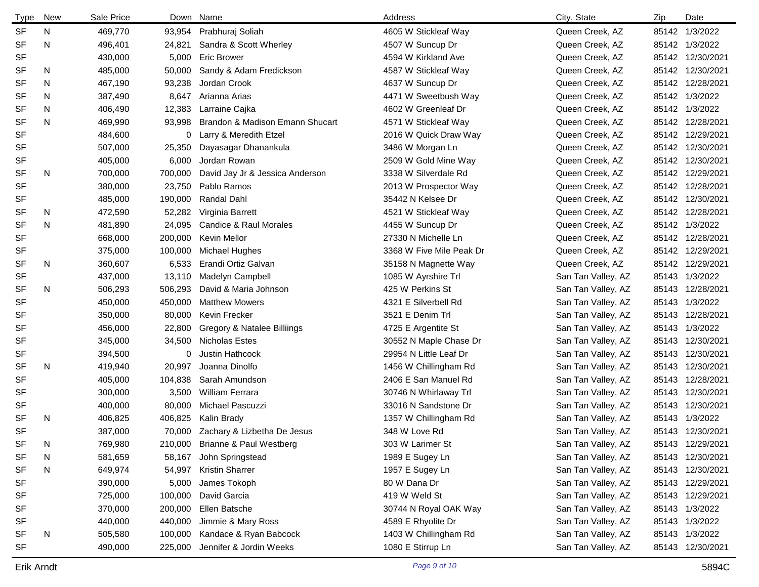| <b>Type</b> | New | Sale Price |         | Down Name                          | Address                  | City, State        | Zip | Date             |
|-------------|-----|------------|---------|------------------------------------|--------------------------|--------------------|-----|------------------|
| <b>SF</b>   | N   | 469,770    | 93,954  | Prabhuraj Soliah                   | 4605 W Stickleaf Way     | Queen Creek, AZ    |     | 85142 1/3/2022   |
| <b>SF</b>   | N   | 496,401    | 24,821  | Sandra & Scott Wherley             | 4507 W Suncup Dr         | Queen Creek, AZ    |     | 85142 1/3/2022   |
| <b>SF</b>   |     | 430,000    | 5,000   | <b>Eric Brower</b>                 | 4594 W Kirkland Ave      | Queen Creek, AZ    |     | 85142 12/30/2021 |
| SF          | N   | 485,000    | 50,000  | Sandy & Adam Fredickson            | 4587 W Stickleaf Way     | Queen Creek, AZ    |     | 85142 12/30/2021 |
| <b>SF</b>   | N   | 467,190    | 93,238  | Jordan Crook                       | 4637 W Suncup Dr         | Queen Creek, AZ    |     | 85142 12/28/2021 |
| <b>SF</b>   | N   | 387,490    | 8,647   | Arianna Arias                      | 4471 W Sweetbush Way     | Queen Creek, AZ    |     | 85142 1/3/2022   |
| <b>SF</b>   | N   | 406,490    | 12,383  | Larraine Cajka                     | 4602 W Greenleaf Dr      | Queen Creek, AZ    |     | 85142 1/3/2022   |
| <b>SF</b>   | N   | 469,990    | 93,998  | Brandon & Madison Emann Shucart    | 4571 W Stickleaf Way     | Queen Creek, AZ    |     | 85142 12/28/2021 |
| <b>SF</b>   |     | 484,600    | 0       | Larry & Meredith Etzel             | 2016 W Quick Draw Way    | Queen Creek, AZ    |     | 85142 12/29/2021 |
| <b>SF</b>   |     | 507,000    | 25,350  | Dayasagar Dhanankula               | 3486 W Morgan Ln         | Queen Creek, AZ    |     | 85142 12/30/2021 |
| SF          |     | 405,000    | 6,000   | Jordan Rowan                       | 2509 W Gold Mine Way     | Queen Creek, AZ    |     | 85142 12/30/2021 |
| <b>SF</b>   | N   | 700,000    | 700,000 | David Jay Jr & Jessica Anderson    | 3338 W Silverdale Rd     | Queen Creek, AZ    |     | 85142 12/29/2021 |
| <b>SF</b>   |     | 380,000    | 23,750  | Pablo Ramos                        | 2013 W Prospector Way    | Queen Creek, AZ    |     | 85142 12/28/2021 |
| SF          |     | 485,000    | 190,000 | Randal Dahl                        | 35442 N Kelsee Dr        | Queen Creek, AZ    |     | 85142 12/30/2021 |
| SF          | N   | 472,590    | 52,282  | Virginia Barrett                   | 4521 W Stickleaf Way     | Queen Creek, AZ    |     | 85142 12/28/2021 |
| <b>SF</b>   | N   | 481,890    | 24,095  | Candice & Raul Morales             | 4455 W Suncup Dr         | Queen Creek, AZ    |     | 85142 1/3/2022   |
| <b>SF</b>   |     | 668,000    | 200,000 | <b>Kevin Mellor</b>                | 27330 N Michelle Ln      | Queen Creek, AZ    |     | 85142 12/28/2021 |
| <b>SF</b>   |     | 375,000    | 100,000 | Michael Hughes                     | 3368 W Five Mile Peak Dr | Queen Creek, AZ    |     | 85142 12/29/2021 |
| <b>SF</b>   | N   | 360,607    | 6,533   | Erandi Ortiz Galvan                | 35158 N Magnette Way     | Queen Creek, AZ    |     | 85142 12/29/2021 |
| <b>SF</b>   |     | 437,000    | 13,110  | Madelyn Campbell                   | 1085 W Ayrshire Trl      | San Tan Valley, AZ |     | 85143 1/3/2022   |
| SF          | N   | 506,293    | 506,293 | David & Maria Johnson              | 425 W Perkins St         | San Tan Valley, AZ |     | 85143 12/28/2021 |
| <b>SF</b>   |     | 450,000    | 450,000 | <b>Matthew Mowers</b>              | 4321 E Silverbell Rd     | San Tan Valley, AZ |     | 85143 1/3/2022   |
| <b>SF</b>   |     | 350,000    | 80,000  | Kevin Frecker                      | 3521 E Denim Trl         | San Tan Valley, AZ |     | 85143 12/28/2021 |
| SF          |     | 456,000    | 22,800  | Gregory & Natalee Billiings        | 4725 E Argentite St      | San Tan Valley, AZ |     | 85143 1/3/2022   |
| <b>SF</b>   |     | 345,000    | 34,500  | <b>Nicholas Estes</b>              | 30552 N Maple Chase Dr   | San Tan Valley, AZ |     | 85143 12/30/2021 |
| SF          |     | 394,500    | 0       | <b>Justin Hathcock</b>             | 29954 N Little Leaf Dr   | San Tan Valley, AZ |     | 85143 12/30/2021 |
| <b>SF</b>   | N   | 419,940    | 20,997  | Joanna Dinolfo                     | 1456 W Chillingham Rd    | San Tan Valley, AZ |     | 85143 12/30/2021 |
| <b>SF</b>   |     | 405,000    | 104,838 | Sarah Amundson                     | 2406 E San Manuel Rd     | San Tan Valley, AZ |     | 85143 12/28/2021 |
| <b>SF</b>   |     | 300,000    | 3,500   | William Ferrara                    | 30746 N Whirlaway Trl    | San Tan Valley, AZ |     | 85143 12/30/2021 |
| SF          |     | 400,000    | 80,000  | Michael Pascuzzi                   | 33016 N Sandstone Dr     | San Tan Valley, AZ |     | 85143 12/30/2021 |
| <b>SF</b>   | N   | 406,825    | 406,825 | Kalin Brady                        | 1357 W Chillingham Rd    | San Tan Valley, AZ |     | 85143 1/3/2022   |
| SF          |     | 387,000    |         | 70,000 Zachary & Lizbetha De Jesus | 348 W Love Rd            | San Tan Valley, AZ |     | 85143 12/30/2021 |
| SF          | N   | 769,980    |         | 210,000 Brianne & Paul Westberg    | 303 W Larimer St         | San Tan Valley, AZ |     | 85143 12/29/2021 |
| <b>SF</b>   | N   | 581,659    | 58,167  | John Springstead                   | 1989 E Sugey Ln          | San Tan Valley, AZ |     | 85143 12/30/2021 |
| <b>SF</b>   | N   | 649,974    | 54,997  | <b>Kristin Sharrer</b>             | 1957 E Sugey Ln          | San Tan Valley, AZ |     | 85143 12/30/2021 |
| <b>SF</b>   |     | 390,000    | 5,000   | James Tokoph                       | 80 W Dana Dr             | San Tan Valley, AZ |     | 85143 12/29/2021 |
| SF          |     | 725,000    | 100,000 | David Garcia                       | 419 W Weld St            | San Tan Valley, AZ |     | 85143 12/29/2021 |
| SF          |     | 370,000    | 200,000 | Ellen Batsche                      | 30744 N Royal OAK Way    | San Tan Valley, AZ |     | 85143 1/3/2022   |
| <b>SF</b>   |     | 440,000    | 440,000 | Jimmie & Mary Ross                 | 4589 E Rhyolite Dr       | San Tan Valley, AZ |     | 85143 1/3/2022   |
| <b>SF</b>   | N   | 505,580    | 100,000 | Kandace & Ryan Babcock             | 1403 W Chillingham Rd    | San Tan Valley, AZ |     | 85143 1/3/2022   |
| SF          |     | 490,000    | 225,000 | Jennifer & Jordin Weeks            | 1080 E Stirrup Ln        | San Tan Valley, AZ |     | 85143 12/30/2021 |